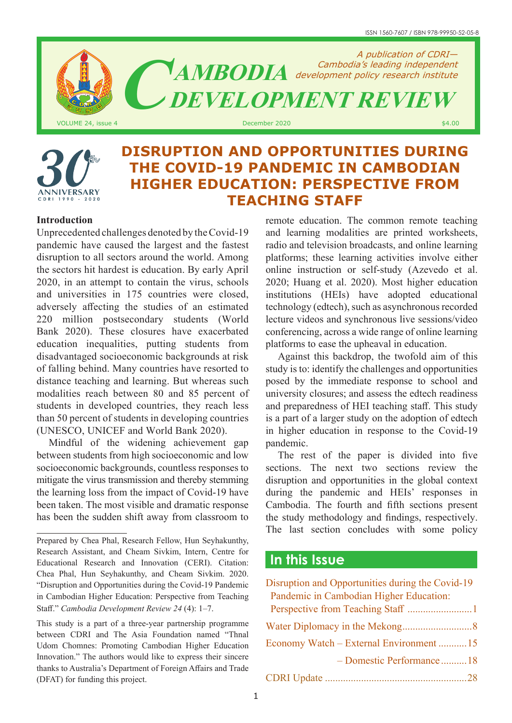ISSN 1560-7607 / ISBN 978-99950-52-05-8



# **INIVERSARY** 1990 2020

# **DISRUPTION AND OPPORTUNITIES DURING THE COVID-19 PANDEMIC IN CAMBODIAN HIGHER EDUCATION: PERSPECTIVE FROM TEACHING STAFF**

# **Introduction**

Unprecedented challenges denoted by the Covid-19 pandemic have caused the largest and the fastest disruption to all sectors around the world. Among the sectors hit hardest is education. By early April 2020, in an attempt to contain the virus, schools and universities in 175 countries were closed, adversely affecting the studies of an estimated 220 million postsecondary students (World Bank 2020). These closures have exacerbated education inequalities, putting students from disadvantaged socioeconomic backgrounds at risk of falling behind. Many countries have resorted to distance teaching and learning. But whereas such modalities reach between 80 and 85 percent of students in developed countries, they reach less than 50 percent of students in developing countries (UNESCO, UNICEF and World Bank 2020).

Mindful of the widening achievement gap between students from high socioeconomic and low socioeconomic backgrounds, countless responses to mitigate the virus transmission and thereby stemming the learning loss from the impact of Covid-19 have been taken. The most visible and dramatic response has been the sudden shift away from classroom to

remote education. The common remote teaching and learning modalities are printed worksheets, radio and television broadcasts, and online learning platforms; these learning activities involve either online instruction or self-study (Azevedo et al. 2020; Huang et al. 2020). Most higher education institutions (HEIs) have adopted educational technology (edtech), such as asynchronous recorded lecture videos and synchronous live sessions/video conferencing, across a wide range of online learning platforms to ease the upheaval in education.

Against this backdrop, the twofold aim of this study is to: identify the challenges and opportunities posed by the immediate response to school and university closures; and assess the edtech readiness and preparedness of HEI teaching staff. This study is a part of a larger study on the adoption of edtech in higher education in response to the Covid-19 pandemic.

The rest of the paper is divided into five sections. The next two sections review the disruption and opportunities in the global context during the pandemic and HEIs' responses in Cambodia. The fourth and fifth sections present the study methodology and findings, respectively. The last section concludes with some policy

# **In this Issue**

| Disruption and Opportunities during the Covid-19 |  |
|--------------------------------------------------|--|
| Pandemic in Cambodian Higher Education:          |  |
|                                                  |  |
|                                                  |  |
| Economy Watch – External Environment 15          |  |
| - Domestic Performance18                         |  |
|                                                  |  |

Prepared by Chea Phal, Research Fellow, Hun Seyhakunthy, Research Assistant, and Cheam Sivkim, Intern, Centre for Educational Research and Innovation (CERI). Citation: Chea Phal, Hun Seyhakunthy, and Cheam Sivkim. 2020. "Disruption and Opportunities during the Covid-19 Pandemic in Cambodian Higher Education: Perspective from Teaching Staff." *Cambodia Development Review 24* (4): 1–7.

This study is a part of a three-year partnership programme between CDRI and The Asia Foundation named "Thnal Udom Chomnes: Promoting Cambodian Higher Education Innovation." The authors would like to express their sincere thanks to Australia's Department of Foreign Affairs and Trade (DFAT) for funding this project.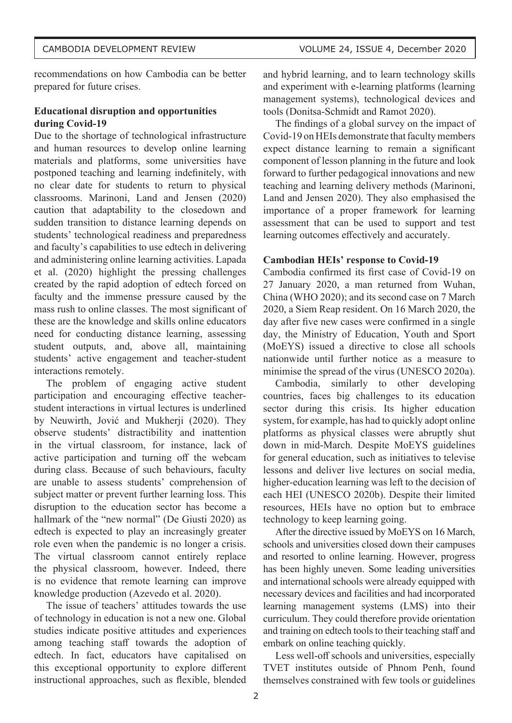recommendations on how Cambodia can be better prepared for future crises.

# **Educational disruption and opportunities during Covid-19**

Due to the shortage of technological infrastructure and human resources to develop online learning materials and platforms, some universities have postponed teaching and learning indefinitely, with no clear date for students to return to physical classrooms. Marinoni, Land and Jensen (2020) caution that adaptability to the closedown and sudden transition to distance learning depends on students' technological readiness and preparedness and faculty's capabilities to use edtech in delivering and administering online learning activities. Lapada et al. (2020) highlight the pressing challenges created by the rapid adoption of edtech forced on faculty and the immense pressure caused by the mass rush to online classes. The most significant of these are the knowledge and skills online educators need for conducting distance learning, assessing student outputs, and, above all, maintaining students' active engagement and teacher-student interactions remotely.

The problem of engaging active student participation and encouraging effective teacherstudent interactions in virtual lectures is underlined by Neuwirth, Jović and Mukherji (2020). They observe students' distractibility and inattention in the virtual classroom, for instance, lack of active participation and turning off the webcam during class. Because of such behaviours, faculty are unable to assess students' comprehension of subject matter or prevent further learning loss. This disruption to the education sector has become a hallmark of the "new normal" (De Giusti 2020) as edtech is expected to play an increasingly greater role even when the pandemic is no longer a crisis. The virtual classroom cannot entirely replace the physical classroom, however. Indeed, there is no evidence that remote learning can improve knowledge production (Azevedo et al. 2020).

The issue of teachers' attitudes towards the use of technology in education is not a new one. Global studies indicate positive attitudes and experiences among teaching staff towards the adoption of edtech. In fact, educators have capitalised on this exceptional opportunity to explore different instructional approaches, such as flexible, blended

and hybrid learning, and to learn technology skills and experiment with e-learning platforms (learning management systems), technological devices and tools (Donitsa-Schmidt and Ramot 2020).

The findings of a global survey on the impact of Covid-19 on HEIs demonstrate that faculty members expect distance learning to remain a significant component of lesson planning in the future and look forward to further pedagogical innovations and new teaching and learning delivery methods (Marinoni, Land and Jensen 2020). They also emphasised the importance of a proper framework for learning assessment that can be used to support and test learning outcomes effectively and accurately.

## **Cambodian HEIs' response to Covid-19**

Cambodia confirmed its first case of Covid-19 on 27 January 2020, a man returned from Wuhan, China (WHO 2020); and its second case on 7 March 2020, a Siem Reap resident. On 16 March 2020, the day after five new cases were confirmed in a single day, the Ministry of Education, Youth and Sport (MoEYS) issued a directive to close all schools nationwide until further notice as a measure to minimise the spread of the virus (UNESCO 2020a).

Cambodia, similarly to other developing countries, faces big challenges to its education sector during this crisis. Its higher education system, for example, has had to quickly adopt online platforms as physical classes were abruptly shut down in mid-March. Despite MoEYS guidelines for general education, such as initiatives to televise lessons and deliver live lectures on social media, higher-education learning was left to the decision of each HEI (UNESCO 2020b). Despite their limited resources, HEIs have no option but to embrace technology to keep learning going.

After the directive issued by MoEYS on 16 March, schools and universities closed down their campuses and resorted to online learning. However, progress has been highly uneven. Some leading universities and international schools were already equipped with necessary devices and facilities and had incorporated learning management systems (LMS) into their curriculum. They could therefore provide orientation and training on edtech tools to their teaching staff and embark on online teaching quickly.

Less well-off schools and universities, especially TVET institutes outside of Phnom Penh, found themselves constrained with few tools or guidelines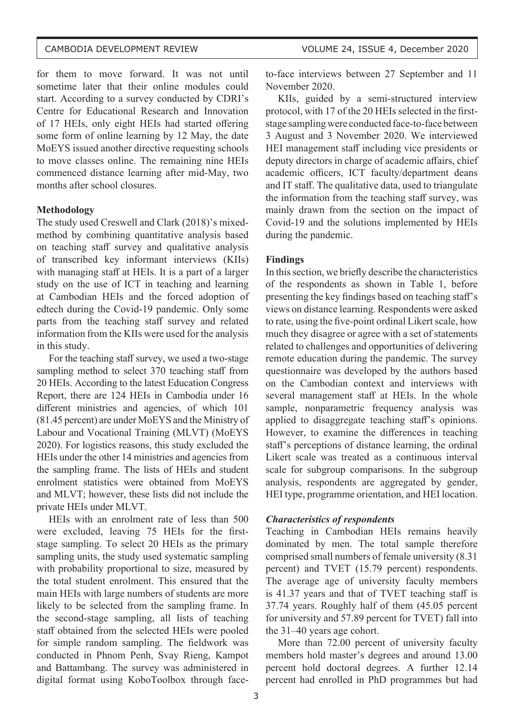for them to move forward. It was not until sometime later that their online modules could start. According to a survey conducted by CDRI's Centre for Educational Research and Innovation of 17 HEIs, only eight HEIs had started offering some form of online learning by 12 May, the date MoEYS issued another directive requesting schools to move classes online. The remaining nine HEIs commenced distance learning after mid-May, two months after school closures.

#### **Methodology**

The study used Creswell and Clark (2018)'s mixedmethod by combining quantitative analysis based on teaching staff survey and qualitative analysis of transcribed key informant interviews (KIIs) with managing staff at HEIs. It is a part of a larger study on the use of ICT in teaching and learning at Cambodian HEIs and the forced adoption of edtech during the Covid-19 pandemic. Only some parts from the teaching staff survey and related information from the KIIs were used for the analysis in this study.

For the teaching staff survey, we used a two-stage sampling method to select 370 teaching staff from 20 HEIs. According to the latest Education Congress Report, there are 124 HEIs in Cambodia under 16 different ministries and agencies, of which 101 (81.45 percent) are under MoEYS and the Ministry of Labour and Vocational Training (MLVT) (MoEYS 2020). For logistics reasons, this study excluded the HEIs under the other 14 ministries and agencies from the sampling frame. The lists of HEIs and student enrolment statistics were obtained from MoEYS and MLVT; however, these lists did not include the private HEIs under MLVT.

HEIs with an enrolment rate of less than 500 were excluded, leaving 75 HEIs for the firststage sampling. To select 20 HEIs as the primary sampling units, the study used systematic sampling with probability proportional to size, measured by the total student enrolment. This ensured that the main HEIs with large numbers of students are more likely to be selected from the sampling frame. In the second-stage sampling, all lists of teaching staff obtained from the selected HEIs were pooled for simple random sampling. The fieldwork was conducted in Phnom Penh, Svay Rieng, Kampot and Battambang. The survey was administered in digital format using KoboToolbox through faceto-face interviews between 27 September and 11 November 2020.

KIIs, guided by a semi-structured interview protocol, with 17 of the 20 HEIs selected in the firststage sampling were conducted face-to-face between 3 August and 3 November 2020. We interviewed HEI management staff including vice presidents or deputy directors in charge of academic affairs, chief academic officers, ICT faculty/department deans and IT staff. The qualitative data, used to triangulate the information from the teaching staff survey, was mainly drawn from the section on the impact of Covid-19 and the solutions implemented by HEIs during the pandemic.

#### **Findings**

In this section, we briefly describe the characteristics of the respondents as shown in Table 1, before presenting the key findings based on teaching staff's views on distance learning. Respondents were asked to rate, using the five-point ordinal Likert scale, how much they disagree or agree with a set of statements related to challenges and opportunities of delivering remote education during the pandemic. The survey questionnaire was developed by the authors based on the Cambodian context and interviews with several management staff at HEIs. In the whole sample, nonparametric frequency analysis was applied to disaggregate teaching staff's opinions. However, to examine the differences in teaching staff's perceptions of distance learning, the ordinal Likert scale was treated as a continuous interval scale for subgroup comparisons. In the subgroup analysis, respondents are aggregated by gender, HEI type, programme orientation, and HEI location.

#### *Characteristics of respondents*

Teaching in Cambodian HEIs remains heavily dominated by men. The total sample therefore comprised small numbers of female university (8.31 percent) and TVET (15.79 percent) respondents. The average age of university faculty members is 41.37 years and that of TVET teaching staff is 37.74 years. Roughly half of them (45.05 percent for university and 57.89 percent for TVET) fall into the 31–40 years age cohort.

More than 72.00 percent of university faculty members hold master's degrees and around 13.00 percent hold doctoral degrees. A further 12.14 percent had enrolled in PhD programmes but had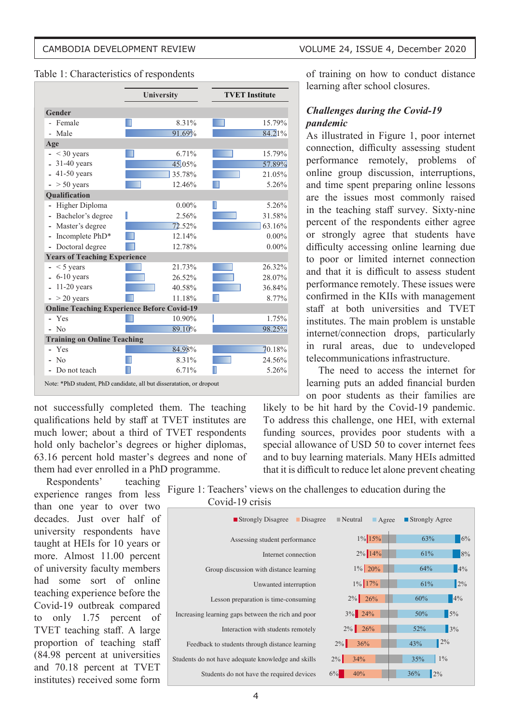#### Table 1: Characteristics of respondents

|                                     | University                                                           | <b>TVET Institute</b> |
|-------------------------------------|----------------------------------------------------------------------|-----------------------|
| <b>Gender</b>                       |                                                                      |                       |
| Female                              | 8.31%                                                                | 15.79%                |
| Male                                | 91.69%                                                               | 84.21%                |
| Age                                 |                                                                      |                       |
| $<$ 30 years                        | 6.71%                                                                | 15.79%                |
| $31-40$ years                       | 45.05%                                                               | 57.89%                |
| $41-50$ years                       | 35.78%                                                               | 21.05%                |
| $> 50$ years                        | 12.46%                                                               | 5.26%                 |
| Qualification                       |                                                                      |                       |
| Higher Diploma                      | $0.00\%$                                                             | 5.26%                 |
| Bachelor's degree                   | 2.56%                                                                | 31.58%                |
| Master's degree                     | 72.52%                                                               | 63.16%                |
| Incomplete PhD*                     | 12.14%                                                               | $0.00\%$              |
| Doctoral degree                     | 12.78%                                                               | $0.00\%$              |
| <b>Years of Teaching Experience</b> |                                                                      |                       |
| $<$ 5 years                         | 21.73%                                                               | 26.32%                |
| $6-10$ years                        | 26.52%                                                               | 28.07%                |
| $11-20$ years                       | 40.58%                                                               | 36.84%                |
| $-$ > 20 years                      | 11.18%                                                               | 8.77%                 |
|                                     | <b>Online Teaching Experience Before Covid-19</b>                    |                       |
| Yes                                 | 10.90%                                                               | 1.75%                 |
| N <sub>0</sub>                      | 89.10%                                                               | 98.25%                |
| <b>Training on Online Teaching</b>  |                                                                      |                       |
| Yes                                 | 84.98%                                                               | 70.18%                |
| N <sub>0</sub>                      | 8.31%                                                                | 24.56%                |
| Do not teach                        | 6.71%                                                                | 5.26%                 |
|                                     | Note: *PhD student, PhD candidate, all but disseratation, or dropout |                       |

not successfully completed them. The teaching qualifications held by staff at TVET institutes are much lower; about a third of TVET respondents hold only bachelor's degrees or higher diplomas, 63.16 percent hold master's degrees and none of them had ever enrolled in a PhD programme.

Respondents' teaching experience ranges from less than one year to over two decades. Just over half of university respondents have taught at HEIs for 10 years or more. Almost 11.00 percent of university faculty members had some sort of online teaching experience before the Covid-19 outbreak compared to only 1.75 percent of TVET teaching staff. A large proportion of teaching staff (84.98 percent at universities and 70.18 percent at TVET institutes) received some form

of training on how to conduct distance learning after school closures.

# *Challenges during the Covid-19 pandemic*

As illustrated in Figure 1, poor internet connection, difficulty assessing student performance remotely, problems of online group discussion, interruptions, and time spent preparing online lessons are the issues most commonly raised in the teaching staff survey. Sixty-nine percent of the respondents either agree or strongly agree that students have difficulty accessing online learning due to poor or limited internet connection and that it is difficult to assess student performance remotely. These issues were confirmed in the KIIs with management staff at both universities and TVET institutes. The main problem is unstable internet/connection drops, particularly in rural areas, due to undeveloped telecommunications infrastructure.

The need to access the internet for learning puts an added financial burden on poor students as their families are

likely to be hit hard by the Covid-19 pandemic. To address this challenge, one HEI, with external funding sources, provides poor students with a special allowance of USD 50 to cover internet fees and to buy learning materials. Many HEIs admitted that it is difficult to reduce let alone prevent cheating

| ■ Strongly Disagree<br>Disagree                    | $\blacksquare$ Neutral<br>$\blacksquare$ Agree | ■ Strongly Agree       |
|----------------------------------------------------|------------------------------------------------|------------------------|
| Assessing student performance                      | 1% 15%                                         | 6%<br>63%              |
| Internet connection                                | 2% 14%                                         | 8%<br>61%              |
| Group discussion with distance learning            | $1\%$ 20%                                      | 4%<br>64%              |
| Unwanted interruption                              | 1% 17%                                         | 2%<br>61%              |
| Lesson preparation is time-consuming               | $2\%$ 26%                                      | 4%<br>60%              |
| Increasing learning gaps between the rich and poor | $3\%$ 24%                                      | 5%<br>50%              |
| Interaction with students remotely                 | $2\%$ 26%                                      | 3%<br>52%              |
| Feedback to students through distance learning     | $2\%$<br>36%                                   | $2\%$<br>43%           |
| Students do not have adequate knowledge and skills | $2\%$<br>34%                                   | $1\%$<br>35%           |
| Students do not have the required devices          | 6%<br>40%                                      | $\frac{1}{2}\%$<br>36% |

Figure 1: Teachers' views on the challenges to education during the Covid-19 crisis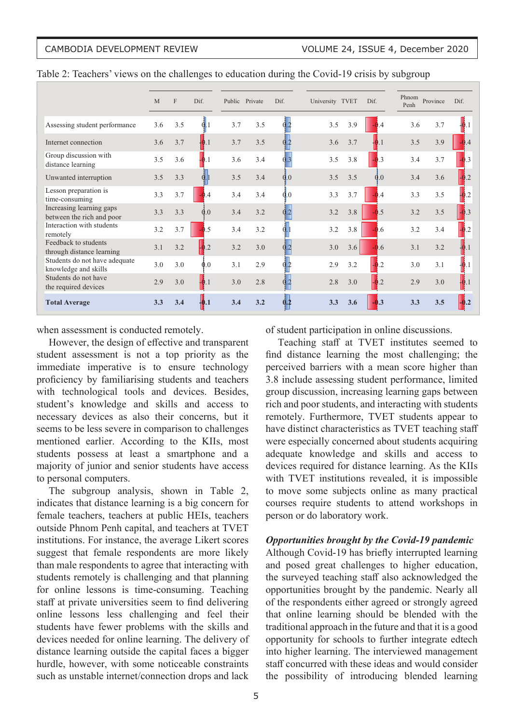|                                                       | M   | $\mathbf{F}$ | Dif.              |     | Public Private | Dif.           | University TVET |     | Dif.           | Phnom<br>Penh | Province | Dif.           |
|-------------------------------------------------------|-----|--------------|-------------------|-----|----------------|----------------|-----------------|-----|----------------|---------------|----------|----------------|
| Assessing student performance                         | 3.6 | 3.5          | 0 <sub>1</sub>    | 3.7 | 3.5            | 02             | 3.5             | 3.9 | $-0.4$         | 3.6           | 3.7      | $+0.1$         |
| Internet connection                                   | 3.6 | 3.7          | $\vert 0.1 \vert$ | 3.7 | 3.5            |                | 3.6             | 3.7 | $\mathbf{0.1}$ | 3.5           | 3.9      | $-0.4$         |
| Group discussion with<br>distance learning            | 3.5 | 3.6          | $\pm 0.1$         | 3.6 | 3.4            | 0.3            | 3.5             | 3.8 | $-0.3$         | 3.4           | 3.7      | $-0.3$         |
| Unwanted interruption                                 | 3.5 | 3.3          |                   | 3.5 | 3.4            | 0.0            | 3.5             | 3.5 | 0.0            | 3.4           | 3.6      | $-0.2$         |
| Lesson preparation is<br>time-consuming               | 3.3 | 3.7          | $\overline{A}$    | 3.4 | 3.4            | 0.0            | 3.3             | 3.7 | $-0.4$         | 3.3           | 3.5      | $-0.2$         |
| Increasing learning gaps<br>between the rich and poor | 3.3 | 3.3          | 0.0               | 3.4 | 3.2            | $\overline{2}$ | 3.2             | 3.8 | $-0.5$         | 3.2           | 3.5      | $-0.3$         |
| Interaction with students<br>remotely                 | 3.2 | 3.7          | .5                | 3.4 | 3.2            |                | 3.2             | 3.8 | $-0.6$         | 3.2           | 3.4      | $\overline{2}$ |
| Feedback to students<br>through distance learning     | 3.1 | 3.2          | $\overline{2}$    | 3.2 | 3.0            |                | 3.0             | 3.6 | $-0.6$         | 3.1           | 3.2      |                |
| Students do not have adequate<br>knowledge and skills | 3.0 | 3.0          | $\mathbf{0.0}$    | 3.1 | 2.9            |                | 2.9             | 3.2 | $-0.2$         | 3.0           | 3.1      |                |
| Students do not have<br>the required devices          | 2.9 | 3.0          | $+0.1$            | 3.0 | 2.8            |                | 2.8             | 3.0 | $-0.2$         | 2.9           | 3.0      | 10.1           |
| <b>Total Average</b>                                  | 3.3 | 3.4          | $\vert$ 0.1       | 3.4 | 3.2            | 0.2            | 3.3             | 3.6 | $-0.3$         | 3.3           | 3.5      | $-0.2$         |

Table 2: Teachers' views on the challenges to education during the Covid-19 crisis by subgroup

when assessment is conducted remotely.

However, the design of effective and transparent student assessment is not a top priority as the immediate imperative is to ensure technology proficiency by familiarising students and teachers with technological tools and devices. Besides, student's knowledge and skills and access to necessary devices as also their concerns, but it seems to be less severe in comparison to challenges mentioned earlier. According to the KIIs, most students possess at least a smartphone and a majority of junior and senior students have access to personal computers.

The subgroup analysis, shown in Table 2, indicates that distance learning is a big concern for female teachers, teachers at public HEIs, teachers outside Phnom Penh capital, and teachers at TVET institutions. For instance, the average Likert scores suggest that female respondents are more likely than male respondents to agree that interacting with students remotely is challenging and that planning for online lessons is time-consuming. Teaching staff at private universities seem to find delivering online lessons less challenging and feel their students have fewer problems with the skills and devices needed for online learning. The delivery of distance learning outside the capital faces a bigger hurdle, however, with some noticeable constraints such as unstable internet/connection drops and lack

of student participation in online discussions.

Teaching staff at TVET institutes seemed to find distance learning the most challenging; the perceived barriers with a mean score higher than 3.8 include assessing student performance, limited group discussion, increasing learning gaps between rich and poor students, and interacting with students remotely. Furthermore, TVET students appear to have distinct characteristics as TVET teaching staff were especially concerned about students acquiring adequate knowledge and skills and access to devices required for distance learning. As the KIIs with TVET institutions revealed, it is impossible to move some subjects online as many practical courses require students to attend workshops in person or do laboratory work.

### *Opportunities brought by the Covid-19 pandemic*

Although Covid-19 has briefly interrupted learning and posed great challenges to higher education, the surveyed teaching staff also acknowledged the opportunities brought by the pandemic. Nearly all of the respondents either agreed or strongly agreed that online learning should be blended with the traditional approach in the future and that it is a good opportunity for schools to further integrate edtech into higher learning. The interviewed management staff concurred with these ideas and would consider the possibility of introducing blended learning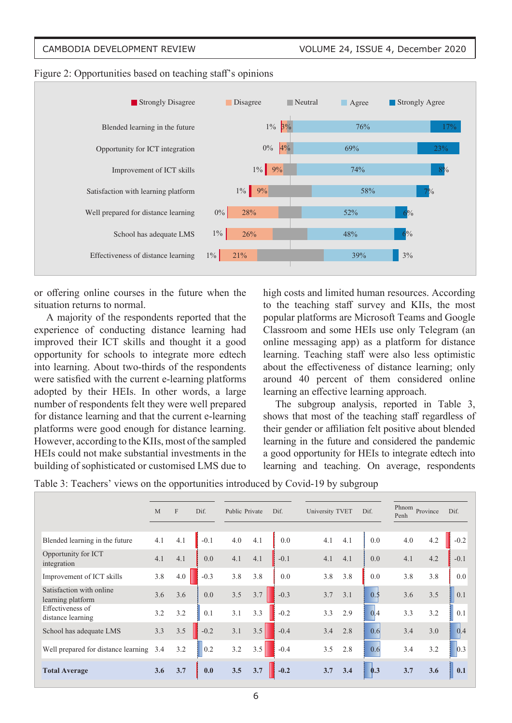

Figure 2: Opportunities based on teaching staff's opinions

or offering online courses in the future when the situation returns to normal.

A majority of the respondents reported that the experience of conducting distance learning had improved their ICT skills and thought it a good opportunity for schools to integrate more edtech into learning. About two-thirds of the respondents were satisfied with the current e-learning platforms adopted by their HEIs. In other words, a large number of respondents felt they were well prepared for distance learning and that the current e-learning platforms were good enough for distance learning. However, according to the KIIs, most of the sampled HEIs could not make substantial investments in the building of sophisticated or customised LMS due to

high costs and limited human resources. According to the teaching staff survey and KIIs, the most popular platforms are Microsoft Teams and Google Classroom and some HEIs use only Telegram (an online messaging app) as a platform for distance learning. Teaching staff were also less optimistic about the effectiveness of distance learning; only around 40 percent of them considered online learning an effective learning approach.

The subgroup analysis, reported in Table 3, shows that most of the teaching staff regardless of their gender or affiliation felt positive about blended learning in the future and considered the pandemic a good opportunity for HEIs to integrate edtech into learning and teaching. On average, respondents

| Table 3: Teachers' views on the opportunities introduced by Covid-19 by subgroup |  |  |  |
|----------------------------------------------------------------------------------|--|--|--|
|                                                                                  |  |  |  |

|                                               | M   | $\mathbf{F}$ | Dif.   | Public Private |     | Dif.   | University TVET |     | Dif.           | Phnom<br>Penh | Province | Dif.   |
|-----------------------------------------------|-----|--------------|--------|----------------|-----|--------|-----------------|-----|----------------|---------------|----------|--------|
| Blended learning in the future                | 4.1 | 4.1          | $-0.1$ | 4.0            | 4.1 | 0.0    | 4.1             | 4.1 | 0.0            | 4.0           | 4.2      | $-0.2$ |
| Opportunity for ICT<br>integration            | 4.1 | 4.1          | 0.0    | 4.1            | 4.1 | $-0.1$ | 4.1             | 4.1 | 0.0            | 4.1           | 4.2      | $-0.1$ |
| Improvement of ICT skills                     | 3.8 | 4.0          | $-0.3$ | 3.8            | 3.8 | 0.0    | 3.8             | 3.8 | 0.0            | 3.8           | 3.8      | 0.0    |
| Satisfaction with online<br>learning platform | 3.6 | 3.6          | 0.0    | 3.5            | 3.7 | $-0.3$ | 3.7             | 3.1 | 0.5            | 3.6           | 3.5      | 0.1    |
| Effectiveness of<br>distance learning         | 3.2 | 3.2          | 0.1    | 3.1            | 3.3 | $-0.2$ | 3.3             | 2.9 | 0 <sup>4</sup> | 3.3           | 3.2      | 0.1    |
| School has adequate LMS                       | 3.3 | 3.5          | $-0.2$ | 3.1            | 3.5 | $-0.4$ | 3.4             | 2.8 | 0.6            | 3.4           | 3.0      | 0.4    |
| Well prepared for distance learning           | 3.4 | 3.2          | 0.2    | 3.2            | 3.5 | $-0.4$ | 3.5             | 2.8 | 0.6            | 3.4           | 3.2      | 0.3    |
| <b>Total Average</b>                          | 3.6 | 3.7          | 0.0    | 3.5            | 3.7 | $-0.2$ | 3.7             | 3.4 | 0.3            | 3.7           | 3.6      | 0.1    |